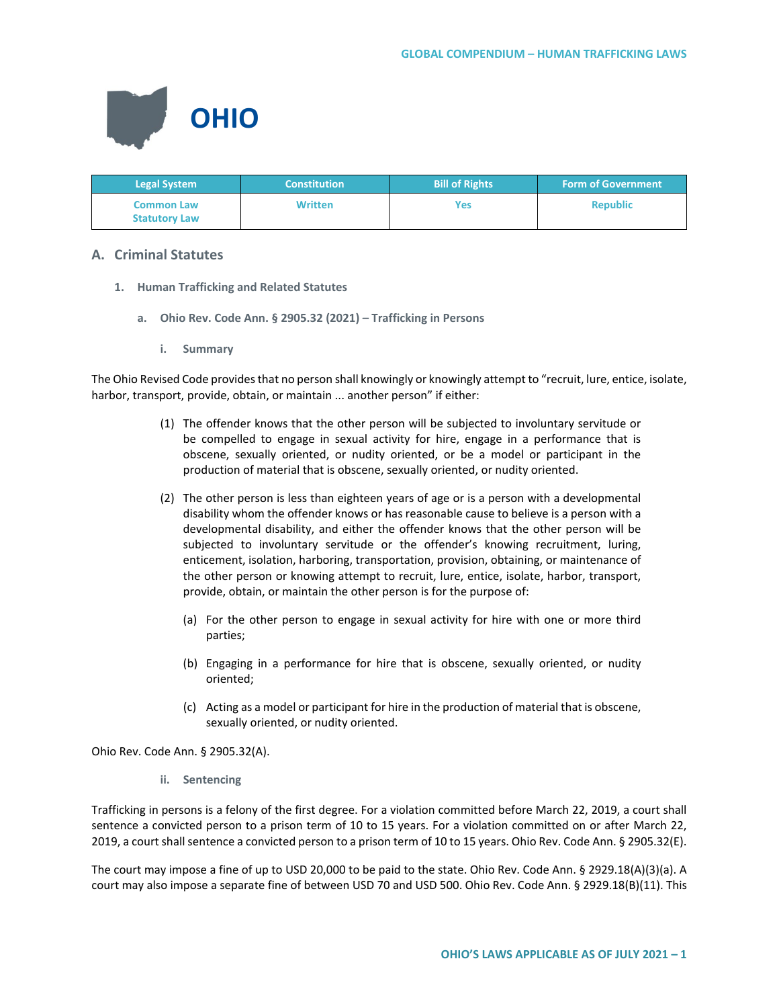

| <b>Legal System</b>                       | <b>Constitution</b> | <b>Bill of Rights</b> | <b>Form of Government</b> |
|-------------------------------------------|---------------------|-----------------------|---------------------------|
| <b>Common Law</b><br><b>Statutory Law</b> | <b>Written</b>      | Yes                   | <b>Republic</b>           |

# **A. Criminal Statutes**

- **1. Human Trafficking and Related Statutes**
	- **a. Ohio Rev. Code Ann. § 2905.32 (2021) – Trafficking in Persons**
		- **i. Summary**

The Ohio Revised Code provides that no person shall knowingly or knowingly attempt to "recruit, lure, entice, isolate, harbor, transport, provide, obtain, or maintain ... another person" if either:

- (1) The offender knows that the other person will be subjected to involuntary servitude or be compelled to engage in sexual activity for hire, engage in a performance that is obscene, sexually oriented, or nudity oriented, or be a model or participant in the production of material that is obscene, sexually oriented, or nudity oriented.
- (2) The other person is less than eighteen years of age or is a person with a developmental disability whom the offender knows or has reasonable cause to believe is a person with a developmental disability, and either the offender knows that the other person will be subjected to involuntary servitude or the offender's knowing recruitment, luring, enticement, isolation, harboring, transportation, provision, obtaining, or maintenance of the other person or knowing attempt to recruit, lure, entice, isolate, harbor, transport, provide, obtain, or maintain the other person is for the purpose of:
	- (a) For the other person to engage in sexual activity for hire with one or more third parties;
	- (b) Engaging in a performance for hire that is obscene, sexually oriented, or nudity oriented;
	- (c) Acting as a model or participant for hire in the production of material that is obscene, sexually oriented, or nudity oriented.

Ohio Rev. Code Ann. § 2905.32(A).

**ii. Sentencing**

Trafficking in persons is a felony of the first degree. For a violation committed before March 22, 2019, a court shall sentence a convicted person to a prison term of 10 to 15 years. For a violation committed on or after March 22, 2019, a court shall sentence a convicted person to a prison term of 10 to 15 years. Ohio Rev. Code Ann. § 2905.32(E).

The court may impose a fine of up to USD 20,000 to be paid to the state. Ohio Rev. Code Ann. § 2929.18(A)(3)(a). A court may also impose a separate fine of between USD 70 and USD 500. Ohio Rev. Code Ann. § 2929.18(B)(11). This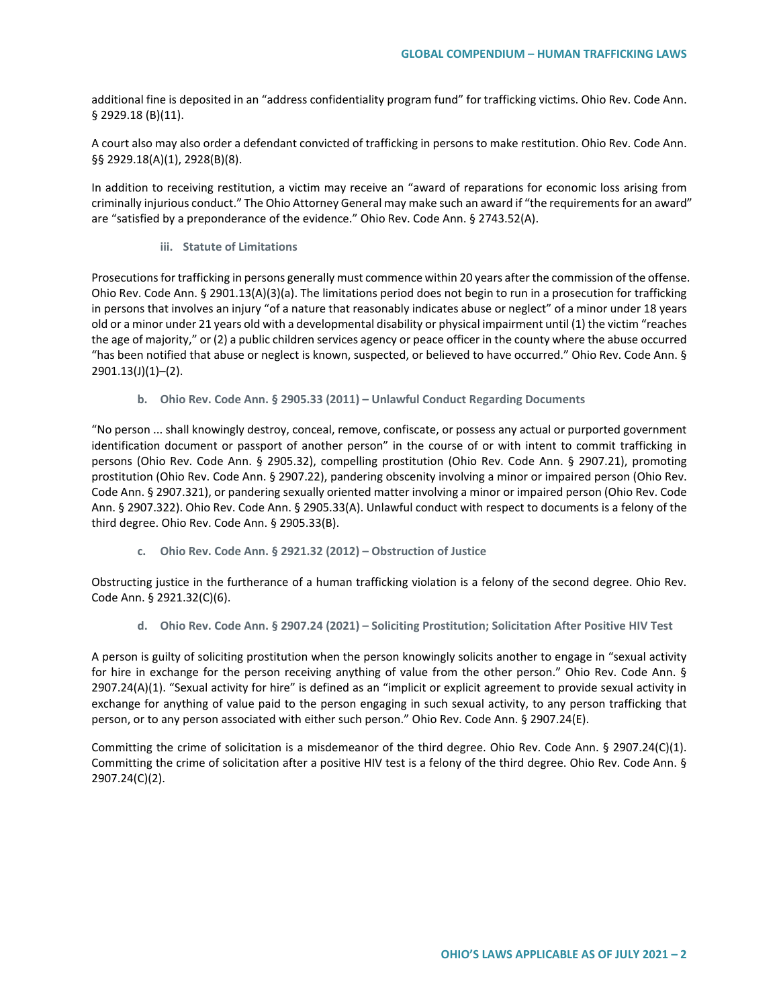additional fine is deposited in an "address confidentiality program fund" for trafficking victims. Ohio Rev. Code Ann. § 2929.18 (B)(11).

A court also may also order a defendant convicted of trafficking in persons to make restitution. Ohio Rev. Code Ann. §§ 2929.18(A)(1), 2928(B)(8).

In addition to receiving restitution, a victim may receive an "award of reparations for economic loss arising from criminally injurious conduct." The Ohio Attorney General may make such an award if "the requirements for an award" are "satisfied by a preponderance of the evidence." Ohio Rev. Code Ann. § 2743.52(A).

**iii. Statute of Limitations**

Prosecutions for trafficking in persons generally must commence within 20 years after the commission of the offense. Ohio Rev. Code Ann. § 2901.13(A)(3)(a). The limitations period does not begin to run in a prosecution for trafficking in persons that involves an injury "of a nature that reasonably indicates abuse or neglect" of a minor under 18 years old or a minor under 21 years old with a developmental disability or physical impairment until (1) the victim "reaches the age of majority," or (2) a public children services agency or peace officer in the county where the abuse occurred "has been notified that abuse or neglect is known, suspected, or believed to have occurred." Ohio Rev. Code Ann. § 2901.13(J)(1)–(2).

**b. Ohio Rev. Code Ann. § 2905.33 (2011) – Unlawful Conduct Regarding Documents**

"No person ... shall knowingly destroy, conceal, remove, confiscate, or possess any actual or purported government identification document or passport of another person" in the course of or with intent to commit trafficking in persons (Ohio Rev. Code Ann. § 2905.32), compelling prostitution (Ohio Rev. Code Ann. § 2907.21), promoting prostitution (Ohio Rev. Code Ann. § 2907.22), pandering obscenity involving a minor or impaired person (Ohio Rev. Code Ann. § 2907.321), or pandering sexually oriented matter involving a minor or impaired person (Ohio Rev. Code Ann. § 2907.322). Ohio Rev. Code Ann. § 2905.33(A). Unlawful conduct with respect to documents is a felony of the third degree. Ohio Rev. Code Ann. § 2905.33(B).

**c. Ohio Rev. Code Ann. § 2921.32 (2012) – Obstruction of Justice**

Obstructing justice in the furtherance of a human trafficking violation is a felony of the second degree. Ohio Rev. Code Ann. § 2921.32(C)(6).

**d. Ohio Rev. Code Ann. § 2907.24 (2021) – Soliciting Prostitution; Solicitation After Positive HIV Test**

A person is guilty of soliciting prostitution when the person knowingly solicits another to engage in "sexual activity for hire in exchange for the person receiving anything of value from the other person." Ohio Rev. Code Ann. § 2907.24(A)(1). "Sexual activity for hire" is defined as an "implicit or explicit agreement to provide sexual activity in exchange for anything of value paid to the person engaging in such sexual activity, to any person trafficking that person, or to any person associated with either such person." Ohio Rev. Code Ann. § 2907.24(E).

Committing the crime of solicitation is a misdemeanor of the third degree. Ohio Rev. Code Ann. § 2907.24(C)(1). Committing the crime of solicitation after a positive HIV test is a felony of the third degree. Ohio Rev. Code Ann. § 2907.24(C)(2).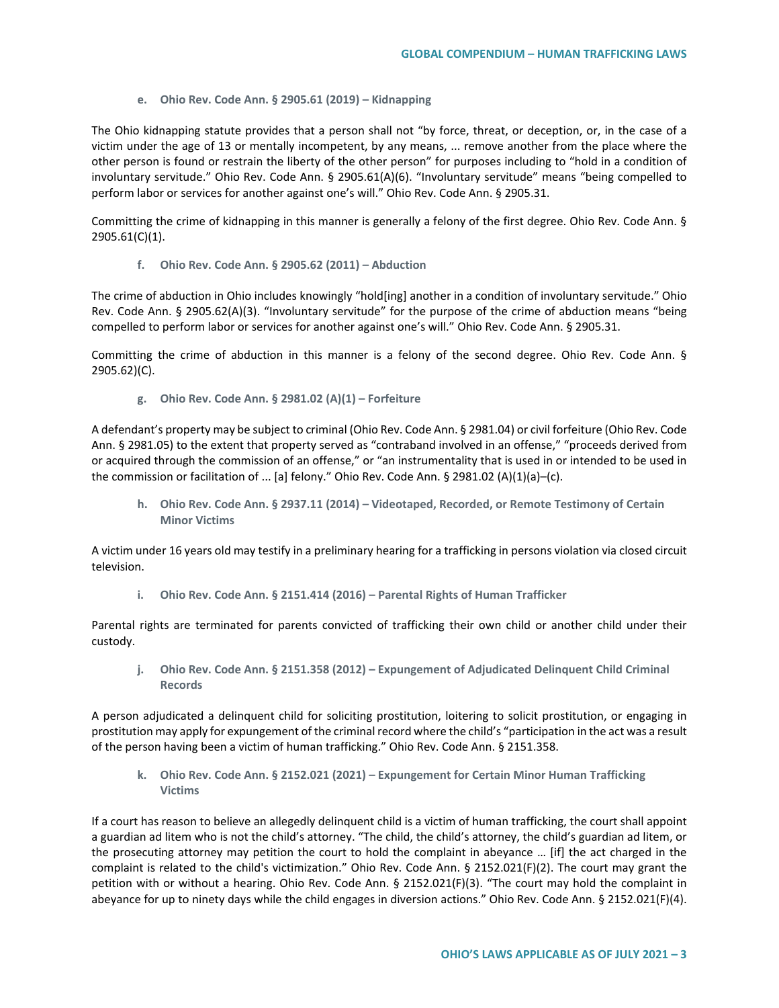**e. Ohio Rev. Code Ann. § 2905.61 (2019) – Kidnapping**

The Ohio kidnapping statute provides that a person shall not "by force, threat, or deception, or, in the case of a victim under the age of 13 or mentally incompetent, by any means, ... remove another from the place where the other person is found or restrain the liberty of the other person" for purposes including to "hold in a condition of involuntary servitude." Ohio Rev. Code Ann. § 2905.61(A)(6). "Involuntary servitude" means "being compelled to perform labor or services for another against one's will." Ohio Rev. Code Ann. § 2905.31.

Committing the crime of kidnapping in this manner is generally a felony of the first degree. Ohio Rev. Code Ann. § 2905.61(C)(1).

**f. Ohio Rev. Code Ann. § 2905.62 (2011) – Abduction**

The crime of abduction in Ohio includes knowingly "hold[ing] another in a condition of involuntary servitude." Ohio Rev. Code Ann. § 2905.62(A)(3). "Involuntary servitude" for the purpose of the crime of abduction means "being compelled to perform labor or services for another against one's will." Ohio Rev. Code Ann. § 2905.31.

Committing the crime of abduction in this manner is a felony of the second degree. Ohio Rev. Code Ann. § 2905.62)(C).

**g. Ohio Rev. Code Ann. § 2981.02 (A)(1) – Forfeiture** 

A defendant's property may be subject to criminal (Ohio Rev. Code Ann. § 2981.04) or civil forfeiture (Ohio Rev. Code Ann. § 2981.05) to the extent that property served as "contraband involved in an offense," "proceeds derived from or acquired through the commission of an offense," or "an instrumentality that is used in or intended to be used in the commission or facilitation of ... [a] felony." Ohio Rev. Code Ann. § 2981.02 (A)(1)(a)–(c).

**h. Ohio Rev. Code Ann. § 2937.11 (2014) – Videotaped, Recorded, or Remote Testimony of Certain Minor Victims**

A victim under 16 years old may testify in a preliminary hearing for a trafficking in persons violation via closed circuit television.

**i. Ohio Rev. Code Ann. § 2151.414 (2016) – Parental Rights of Human Trafficker**

Parental rights are terminated for parents convicted of trafficking their own child or another child under their custody.

**j. Ohio Rev. Code Ann. § 2151.358 (2012) – Expungement of Adjudicated Delinquent Child Criminal Records**

A person adjudicated a delinquent child for soliciting prostitution, loitering to solicit prostitution, or engaging in prostitution may apply for expungement of the criminal record where the child's "participation in the act was a result of the person having been a victim of human trafficking." Ohio Rev. Code Ann. § 2151.358.

**k. Ohio Rev. Code Ann. § 2152.021 (2021) – Expungement for Certain Minor Human Trafficking Victims** 

If a court has reason to believe an allegedly delinquent child is a victim of human trafficking, the court shall appoint a guardian ad litem who is not the child's attorney. "The child, the child's attorney, the child's guardian ad litem, or the prosecuting attorney may petition the court to hold the complaint in abeyance … [if] the act charged in the complaint is related to the child's victimization." Ohio Rev. Code Ann. § 2152.021(F)(2). The court may grant the petition with or without a hearing. Ohio Rev. Code Ann. § 2152.021(F)(3). "The court may hold the complaint in abeyance for up to ninety days while the child engages in diversion actions." Ohio Rev. Code Ann. § 2152.021(F)(4).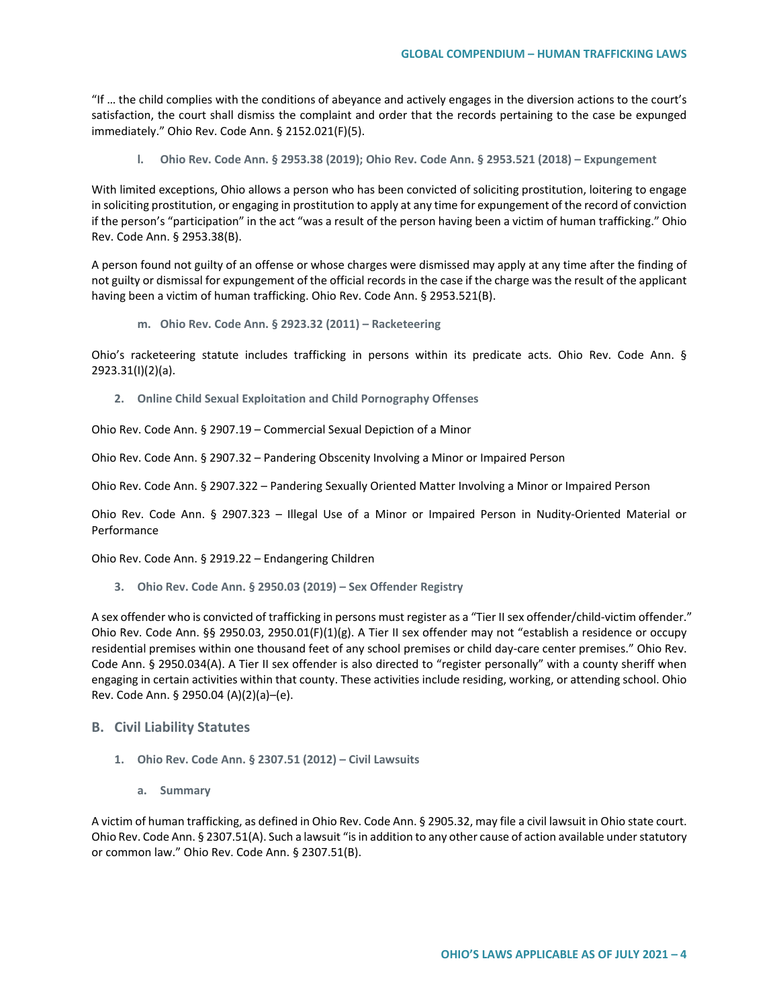"If … the child complies with the conditions of abeyance and actively engages in the diversion actions to the court's satisfaction, the court shall dismiss the complaint and order that the records pertaining to the case be expunged immediately." Ohio Rev. Code Ann. § 2152.021(F)(5).

**l. Ohio Rev. Code Ann. § 2953.38 (2019); Ohio Rev. Code Ann. § 2953.521 (2018) – Expungement** 

With limited exceptions, Ohio allows a person who has been convicted of soliciting prostitution, loitering to engage in soliciting prostitution, or engaging in prostitution to apply at any time for expungement of the record of conviction if the person's "participation" in the act "was a result of the person having been a victim of human trafficking." Ohio Rev. Code Ann. § 2953.38(B).

A person found not guilty of an offense or whose charges were dismissed may apply at any time after the finding of not guilty or dismissal for expungement of the official records in the case if the charge was the result of the applicant having been a victim of human trafficking. Ohio Rev. Code Ann. § 2953.521(B).

**m. Ohio Rev. Code Ann. § 2923.32 (2011) – Racketeering**

Ohio's racketeering statute includes trafficking in persons within its predicate acts. Ohio Rev. Code Ann. § 2923.31(I)(2)(a).

**2. Online Child Sexual Exploitation and Child Pornography Offenses**

Ohio Rev. Code Ann. § 2907.19 – Commercial Sexual Depiction of a Minor

Ohio Rev. Code Ann. § 2907.32 – Pandering Obscenity Involving a Minor or Impaired Person

Ohio Rev. Code Ann. § 2907.322 – Pandering Sexually Oriented Matter Involving a Minor or Impaired Person

Ohio Rev. Code Ann. § 2907.323 – Illegal Use of a Minor or Impaired Person in Nudity-Oriented Material or Performance

Ohio Rev. Code Ann. § 2919.22 – Endangering Children

**3. Ohio Rev. Code Ann. § 2950.03 (2019) – Sex Offender Registry**

A sex offender who is convicted of trafficking in persons must register as a "Tier II sex offender/child-victim offender." Ohio Rev. Code Ann. §§ 2950.03, 2950.01(F)(1)(g). A Tier II sex offender may not "establish a residence or occupy residential premises within one thousand feet of any school premises or child day-care center premises." Ohio Rev. Code Ann. § 2950.034(A). A Tier II sex offender is also directed to "register personally" with a county sheriff when engaging in certain activities within that county. These activities include residing, working, or attending school. Ohio Rev. Code Ann. § 2950.04 (A)(2)(a)–(e).

## **B. Civil Liability Statutes**

- **1. Ohio Rev. Code Ann. § 2307.51 (2012) – Civil Lawsuits** 
	- **a. Summary**

A victim of human trafficking, as defined in Ohio Rev. Code Ann. § 2905.32, may file a civil lawsuit in Ohio state court. Ohio Rev. Code Ann. § 2307.51(A). Such a lawsuit "is in addition to any other cause of action available under statutory or common law." Ohio Rev. Code Ann. § 2307.51(B).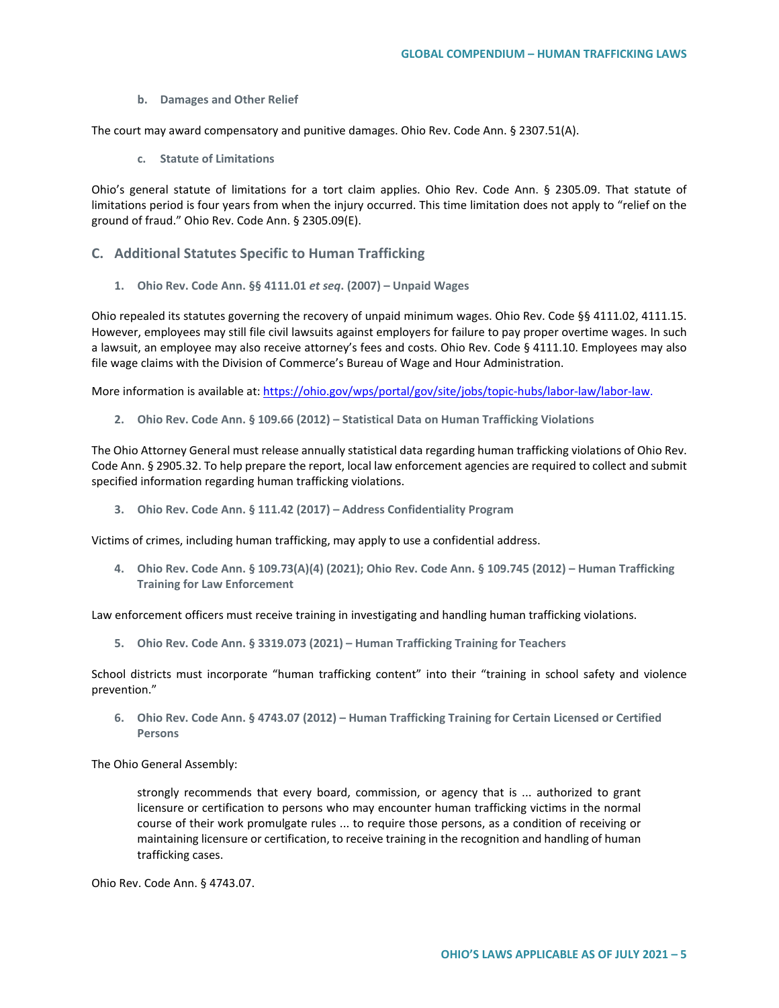**b. Damages and Other Relief**

The court may award compensatory and punitive damages. Ohio Rev. Code Ann. § 2307.51(A).

**c. Statute of Limitations**

Ohio's general statute of limitations for a tort claim applies. Ohio Rev. Code Ann. § 2305.09. That statute of limitations period is four years from when the injury occurred. This time limitation does not apply to "relief on the ground of fraud." Ohio Rev. Code Ann. § 2305.09(E).

- **C. Additional Statutes Specific to Human Trafficking**
	- **1. Ohio Rev. Code Ann. §§ 4111.01** *et seq***. (2007) – Unpaid Wages**

Ohio repealed its statutes governing the recovery of unpaid minimum wages. Ohio Rev. Code §§ 4111.02, 4111.15. However, employees may still file civil lawsuits against employers for failure to pay proper overtime wages. In such a lawsuit, an employee may also receive attorney's fees and costs. Ohio Rev. Code § 4111.10. Employees may also file wage claims with the Division of Commerce's Bureau of Wage and Hour Administration.

More information is available at: [https://ohio.gov/wps/portal/gov/site/jobs/topic-hubs/labor-law/labor-law.](https://ohio.gov/wps/portal/gov/site/jobs/topic-hubs/labor-law/labor-law)

**2. Ohio Rev. Code Ann. § 109.66 (2012) – Statistical Data on Human Trafficking Violations** 

The Ohio Attorney General must release annually statistical data regarding human trafficking violations of Ohio Rev. Code Ann. § 2905.32. To help prepare the report, local law enforcement agencies are required to collect and submit specified information regarding human trafficking violations.

**3. Ohio Rev. Code Ann. § 111.42 (2017) – Address Confidentiality Program**

Victims of crimes, including human trafficking, may apply to use a confidential address.

**4. Ohio Rev. Code Ann. § 109.73(A)(4) (2021); Ohio Rev. Code Ann. § 109.745 (2012) – Human Trafficking Training for Law Enforcement** 

Law enforcement officers must receive training in investigating and handling human trafficking violations.

**5. Ohio Rev. Code Ann. § 3319.073 (2021) – Human Trafficking Training for Teachers** 

School districts must incorporate "human trafficking content" into their "training in school safety and violence prevention."

**6. Ohio Rev. Code Ann. § 4743.07 (2012) – Human Trafficking Training for Certain Licensed or Certified Persons**

The Ohio General Assembly:

strongly recommends that every board, commission, or agency that is ... authorized to grant licensure or certification to persons who may encounter human trafficking victims in the normal course of their work promulgate rules ... to require those persons, as a condition of receiving or maintaining licensure or certification, to receive training in the recognition and handling of human trafficking cases.

Ohio Rev. Code Ann. § 4743.07.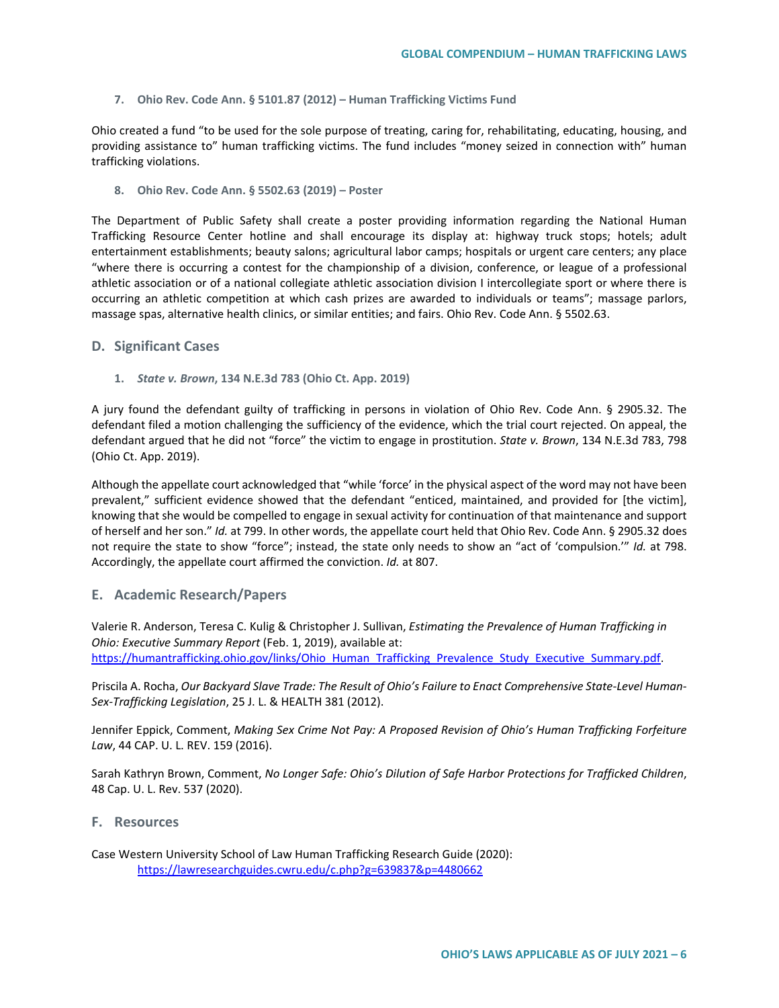**7. Ohio Rev. Code Ann. § 5101.87 (2012) – Human Trafficking Victims Fund**

Ohio created a fund "to be used for the sole purpose of treating, caring for, rehabilitating, educating, housing, and providing assistance to" human trafficking victims. The fund includes "money seized in connection with" human trafficking violations.

**8. Ohio Rev. Code Ann. § 5502.63 (2019) – Poster** 

The Department of Public Safety shall create a poster providing information regarding the National Human Trafficking Resource Center hotline and shall encourage its display at: highway truck stops; hotels; adult entertainment establishments; beauty salons; agricultural labor camps; hospitals or urgent care centers; any place "where there is occurring a contest for the championship of a division, conference, or league of a professional athletic association or of a national collegiate athletic association division I intercollegiate sport or where there is occurring an athletic competition at which cash prizes are awarded to individuals or teams"; massage parlors, massage spas, alternative health clinics, or similar entities; and fairs. Ohio Rev. Code Ann. § 5502.63.

#### **D. Significant Cases**

**1.** *State v. Brown***, 134 N.E.3d 783 (Ohio Ct. App. 2019)**

A jury found the defendant guilty of trafficking in persons in violation of Ohio Rev. Code Ann. § 2905.32. The defendant filed a motion challenging the sufficiency of the evidence, which the trial court rejected. On appeal, the defendant argued that he did not "force" the victim to engage in prostitution. *State v. Brown*, 134 N.E.3d 783, 798 (Ohio Ct. App. 2019).

Although the appellate court acknowledged that "while 'force' in the physical aspect of the word may not have been prevalent," sufficient evidence showed that the defendant "enticed, maintained, and provided for [the victim], knowing that she would be compelled to engage in sexual activity for continuation of that maintenance and support of herself and her son." *Id.* at 799. In other words, the appellate court held that Ohio Rev. Code Ann. § 2905.32 does not require the state to show "force"; instead, the state only needs to show an "act of 'compulsion.'" *Id.* at 798. Accordingly, the appellate court affirmed the conviction. *Id.* at 807.

### **E. Academic Research/Papers**

Valerie R. Anderson, Teresa C. Kulig & Christopher J. Sullivan, *Estimating the Prevalence of Human Trafficking in Ohio: Executive Summary Report* (Feb. 1, 2019), available at: https://humantrafficking.ohio.gov/links/Ohio\_Human\_Trafficking\_Prevalence\_Study\_Executive\_Summary.pdf.

Priscila A. Rocha, *Our Backyard Slave Trade: The Result of Ohio's Failure to Enact Comprehensive State-Level Human-Sex-Trafficking Legislation*, 25 J. L. & HEALTH 381 (2012).

Jennifer Eppick, Comment, *Making Sex Crime Not Pay: A Proposed Revision of Ohio's Human Trafficking Forfeiture Law*, 44 CAP. U. L. REV. 159 (2016).

Sarah Kathryn Brown, Comment, *No Longer Safe: Ohio's Dilution of Safe Harbor Protections for Trafficked Children*, 48 Cap. U. L. Rev. 537 (2020).

#### **F. Resources**

Case Western University School of Law Human Trafficking Research Guide (2020): <https://lawresearchguides.cwru.edu/c.php?g=639837&p=4480662>